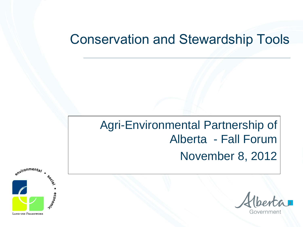#### Conservation and Stewardship Tools

# Agri-Environmental Partnership of Alberta - Fall Forum November 8, 2012



Governme

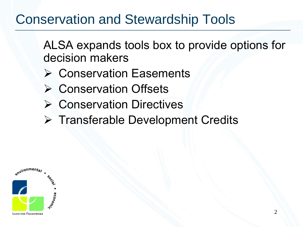# Conservation and Stewardship Tools

ALSA expands tools box to provide options for decision makers

- **≻ Conservation Easements**
- **≻ Conservation Offsets**
- **≻ Conservation Directives**
- **▶ Transferable Development Credits**

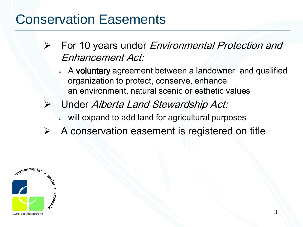## Conservation Easements

- $\triangleright$  For 10 years under *Environmental Protection and* Enhancement Act:
	- $\triangleright$  A voluntary agreement between a landowner and qualified organization to protect, conserve, enhance an environment, natural scenic or esthetic values
- Under Alberta Land Stewardship Act:
	- $\triangleright$  will expand to add land for agricultural purposes
- $\triangleright$  A conservation easement is registered on title

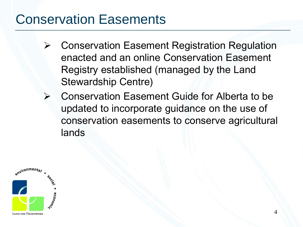## Conservation Easements

- Conservation Easement Registration Regulation enacted and an online Conservation Easement Registry established (managed by the Land Stewardship Centre)
- Conservation Easement Guide for Alberta to be updated to incorporate guidance on the use of conservation easements to conserve agricultural lands

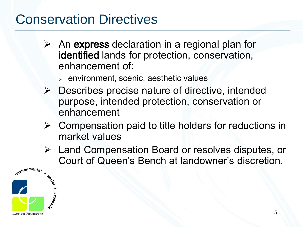## Conservation Directives

- $\triangleright$  An express declaration in a regional plan for identified lands for protection, conservation, enhancement of:
	- $\epsilon$  environment, scenic, aesthetic values
- $\triangleright$  Describes precise nature of directive, intended purpose, intended protection, conservation or enhancement
- $\triangleright$  Compensation paid to title holders for reductions in market values
- Land Compensation Board or resolves disputes, or Court of Queen's Bench at landowner's discretion.

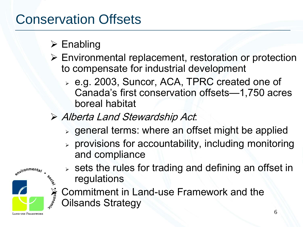# Conservation Offsets

#### $\triangleright$  Enabling

- Environmental replacement, restoration or protection to compensate for industrial development
	- e.g. 2003, Suncor, ACA, TPRC created one of Canada's first conservation offsets—1,750 acres boreal habitat
- Alberta Land Stewardship Act:
	- $\rightarrow$  general terms: where an offset might be applied
	- provisions for accountability, including monitoring and compliance



- $\triangleright$  sets the rules for trading and defining an offset in regulations
- Sommitment in Land-use Framework and the<br>Solisands Strategy Oilsands Strategy